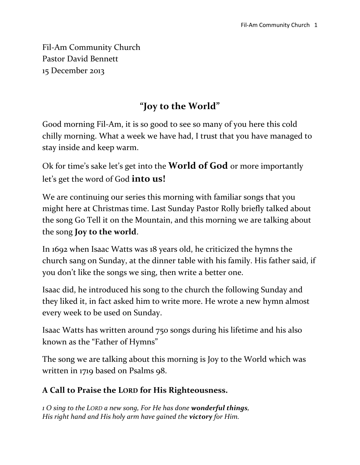Fil-Am Community Church Pastor David Bennett 15 December 2013

## **"Joy to the World"**

Good morning Fil-Am, it is so good to see so many of you here this cold chilly morning. What a week we have had, I trust that you have managed to stay inside and keep warm.

Ok for time's sake let's get into the **World of God** or more importantly let's get the word of God **into us!**

We are continuing our series this morning with familiar songs that you might here at Christmas time. Last Sunday Pastor Rolly briefly talked about the song Go Tell it on the Mountain, and this morning we are talking about the song **Joy to the world**.

In 1692 when Isaac Watts was 18 years old, he criticized the hymns the church sang on Sunday, at the dinner table with his family. His father said, if you don't like the songs we sing, then write a better one.

Isaac did, he introduced his song to the church the following Sunday and they liked it, in fact asked him to write more. He wrote a new hymn almost every week to be used on Sunday.

Isaac Watts has written around 750 songs during his lifetime and his also known as the "Father of Hymns"

The song we are talking about this morning is Joy to the World which was written in 1719 based on Psalms 98.

## **A Call to Praise the LORD for His Righteousness.**

*1 O sing to the LORD a new song, For He has done wonderful things, His right hand and His holy arm have gained the victory for Him.*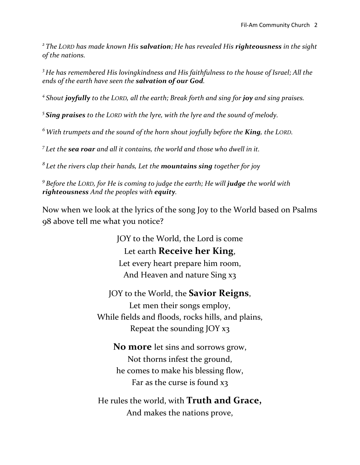*2 The LORD has made known His salvation; He has revealed His righteousness in the sight of the nations.*

*<sup>3</sup> He has remembered His lovingkindness and His faithfulness to the house of Israel; All the ends of the earth have seen the salvation of our God.*

*4 Shout joyfully to the LORD, all the earth; Break forth and sing for joy and sing praises.*

*5 Sing praises to the LORD with the lyre, with the lyre and the sound of melody.*

*<sup>6</sup>With trumpets and the sound of the horn shout joyfully before the King, the LORD.*

*7 Let the sea roar and all it contains, the world and those who dwell in it.*

*8 Let the rivers clap their hands, Let the mountains sing together for joy*

*9 Before the LORD, for He is coming to judge the earth; He will judge the world with righteousness And the peoples with equity.*

Now when we look at the lyrics of the song Joy to the World based on Psalms 98 above tell me what you notice?

> JOY to the World, the Lord is come Let earth **Receive her King**, Let every heart prepare him room, And Heaven and nature Sing x3

JOY to the World, the **Savior Reigns**, Let men their songs employ, While fields and floods, rocks hills, and plains, Repeat the sounding JOY x3

**No more** let sins and sorrows grow, Not thorns infest the ground, he comes to make his blessing flow, Far as the curse is found x3

He rules the world, with **Truth and Grace,** And makes the nations prove,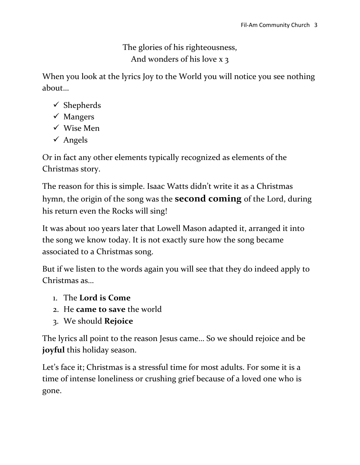The glories of his righteousness, And wonders of his love x 3

When you look at the lyrics Joy to the World you will notice you see nothing about…

- $\checkmark$  Shepherds
- $\checkmark$  Mangers
- Wise Men
- $\checkmark$  Angels

Or in fact any other elements typically recognized as elements of the Christmas story.

The reason for this is simple. Isaac Watts didn't write it as a Christmas hymn, the origin of the song was the **second coming** of the Lord, during his return even the Rocks will sing!

It was about 100 years later that Lowell Mason adapted it, arranged it into the song we know today. It is not exactly sure how the song became associated to a Christmas song.

But if we listen to the words again you will see that they do indeed apply to Christmas as…

- 1. The **Lord is Come**
- 2. He **came to save** the world
- 3. We should **Rejoice**

The lyrics all point to the reason Jesus came… So we should rejoice and be **joyful** this holiday season.

Let's face it; Christmas is a stressful time for most adults. For some it is a time of intense loneliness or crushing grief because of a loved one who is gone.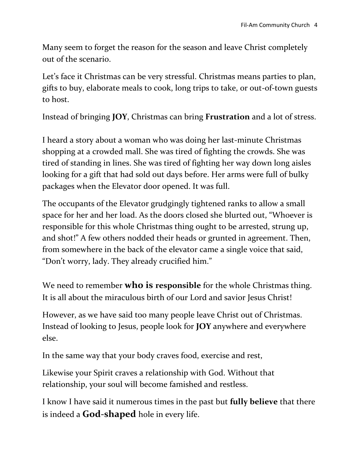Many seem to forget the reason for the season and leave Christ completely out of the scenario.

Let's face it Christmas can be very stressful. Christmas means parties to plan, gifts to buy, elaborate meals to cook, long trips to take, or out-of-town guests to host.

Instead of bringing **JOY**, Christmas can bring **Frustration** and a lot of stress.

I heard a story about a woman who was doing her last-minute Christmas shopping at a crowded mall. She was tired of fighting the crowds. She was tired of standing in lines. She was tired of fighting her way down long aisles looking for a gift that had sold out days before. Her arms were full of bulky packages when the Elevator door opened. It was full.

The occupants of the Elevator grudgingly tightened ranks to allow a small space for her and her load. As the doors closed she blurted out, "Whoever is responsible for this whole Christmas thing ought to be arrested, strung up, and shot!" A few others nodded their heads or grunted in agreement. Then, from somewhere in the back of the elevator came a single voice that said, "Don't worry, lady. They already crucified him."

We need to remember **who is responsible** for the whole Christmas thing. It is all about the miraculous birth of our Lord and savior Jesus Christ!

However, as we have said too many people leave Christ out of Christmas. Instead of looking to Jesus, people look for **JOY** anywhere and everywhere else.

In the same way that your body craves food, exercise and rest,

Likewise your Spirit craves a relationship with God. Without that relationship, your soul will become famished and restless.

I know I have said it numerous times in the past but **fully believe** that there is indeed a **God-shaped** hole in every life.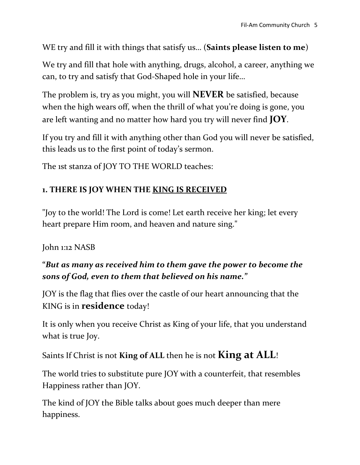#### WE try and fill it with things that satisfy us… (**Saints please listen to me**)

We try and fill that hole with anything, drugs, alcohol, a career, anything we can, to try and satisfy that God-Shaped hole in your life…

The problem is, try as you might, you will **NEVER** be satisfied, because when the high wears off, when the thrill of what you're doing is gone, you are left wanting and no matter how hard you try will never find **JOY**.

If you try and fill it with anything other than God you will never be satisfied, this leads us to the first point of today's sermon.

The 1st stanza of JOY TO THE WORLD teaches:

## **1. THERE IS JOY WHEN THE KING IS RECEIVED**

"Joy to the world! The Lord is come! Let earth receive her king; let every heart prepare Him room, and heaven and nature sing."

#### John 1:12 NASB

## **"***But as many as received him to them gave the power to become the sons of God, even to them that believed on his name."*

JOY is the flag that flies over the castle of our heart announcing that the KING is in **residence** today!

It is only when you receive Christ as King of your life, that you understand what is true Joy.

Saints If Christ is not **King of ALL** then he is not **King at ALL**!

The world tries to substitute pure JOY with a counterfeit, that resembles Happiness rather than JOY.

The kind of JOY the Bible talks about goes much deeper than mere happiness.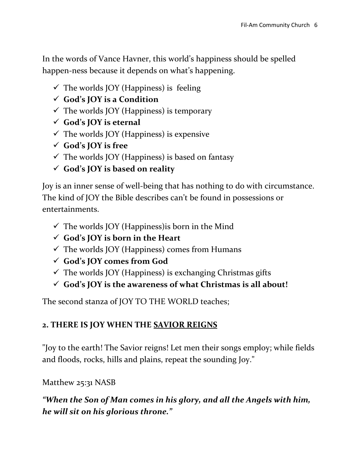In the words of Vance Havner, this world's happiness should be spelled happen-ness because it depends on what's happening.

- $\checkmark$  The worlds JOY (Happiness) is feeling
- **God's JOY is a Condition**
- $\checkmark$  The worlds JOY (Happiness) is temporary
- **God's JOY is eternal**
- $\checkmark$  The worlds JOY (Happiness) is expensive
- **God's JOY is free**
- $\checkmark$  The worlds JOY (Happiness) is based on fantasy
- **God's JOY is based on reality**

Joy is an inner sense of well-being that has nothing to do with circumstance. The kind of JOY the Bible describes can't be found in possessions or entertainments.

- $\checkmark$  The worlds JOY (Happiness) is born in the Mind
- **God's JOY is born in the Heart**
- $\checkmark$  The worlds JOY (Happiness) comes from Humans
- **God's JOY comes from God**
- $\checkmark$  The worlds JOY (Happiness) is exchanging Christmas gifts
- **God's JOY is the awareness of what Christmas is all about!**

The second stanza of JOY TO THE WORLD teaches;

## **2. THERE IS JOY WHEN THE SAVIOR REIGNS**

"Joy to the earth! The Savior reigns! Let men their songs employ; while fields and floods, rocks, hills and plains, repeat the sounding Joy."

Matthew 25:31 NASB

*"When the Son of Man comes in his glory, and all the Angels with him, he will sit on his glorious throne."*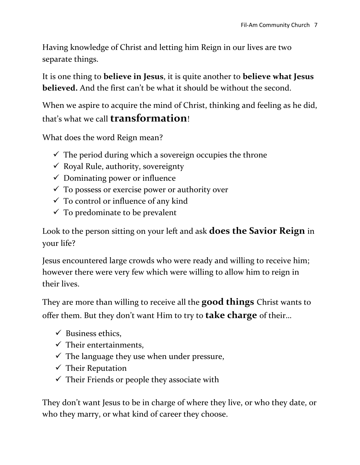Having knowledge of Christ and letting him Reign in our lives are two separate things.

It is one thing to **believe in Jesus**, it is quite another to **believe what Jesus believed.** And the first can't be what it should be without the second.

When we aspire to acquire the mind of Christ, thinking and feeling as he did, that's what we call **transformation**!

What does the word Reign mean?

- $\checkmark$  The period during which a sovereign occupies the throne
- $\checkmark$  Royal Rule, authority, sovereignty
- $\checkmark$  Dominating power or influence
- $\checkmark$  To possess or exercise power or authority over
- $\checkmark$  To control or influence of any kind
- $\checkmark$  To predominate to be prevalent

Look to the person sitting on your left and ask **does the Savior Reign** in your life?

Jesus encountered large crowds who were ready and willing to receive him; however there were very few which were willing to allow him to reign in their lives.

They are more than willing to receive all the **good things** Christ wants to offer them. But they don't want Him to try to **take charge** of their…

- $\checkmark$  Business ethics,
- $\checkmark$  Their entertainments,
- $\checkmark$  The language they use when under pressure,
- $\checkmark$  Their Reputation
- $\checkmark$  Their Friends or people they associate with

They don't want Jesus to be in charge of where they live, or who they date, or who they marry, or what kind of career they choose.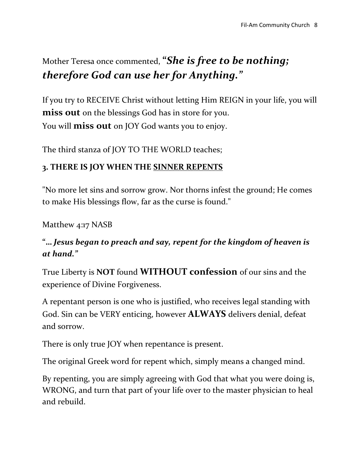# Mother Teresa once commented, **"***She is free to be nothing; therefore God can use her for Anything."*

If you try to RECEIVE Christ without letting Him REIGN in your life, you will **miss out** on the blessings God has in store for you. You will **miss out** on JOY God wants you to enjoy.

The third stanza of JOY TO THE WORLD teaches;

## **3. THERE IS JOY WHEN THE SINNER REPENTS**

"No more let sins and sorrow grow. Nor thorns infest the ground; He comes to make His blessings flow, far as the curse is found."

Matthew 4:17 NASB

#### **"…** *Jesus began to preach and say, repent for the kingdom of heaven is at hand."*

True Liberty is **NOT** found **WITHOUT confession** of our sins and the experience of Divine Forgiveness.

A repentant person is one who is justified, who receives legal standing with God. Sin can be VERY enticing, however **ALWAYS** delivers denial, defeat and sorrow.

There is only true JOY when repentance is present.

The original Greek word for repent which, simply means a changed mind.

By repenting, you are simply agreeing with God that what you were doing is, WRONG, and turn that part of your life over to the master physician to heal and rebuild.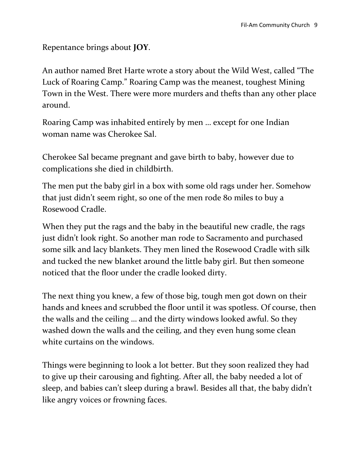Repentance brings about **JOY**.

An author named Bret Harte wrote a story about the Wild West, called "The Luck of Roaring Camp." Roaring Camp was the meanest, toughest Mining Town in the West. There were more murders and thefts than any other place around.

Roaring Camp was inhabited entirely by men … except for one Indian woman name was Cherokee Sal.

Cherokee Sal became pregnant and gave birth to baby, however due to complications she died in childbirth.

The men put the baby girl in a box with some old rags under her. Somehow that just didn't seem right, so one of the men rode 80 miles to buy a Rosewood Cradle.

When they put the rags and the baby in the beautiful new cradle, the rags just didn't look right. So another man rode to Sacramento and purchased some silk and lacy blankets. They men lined the Rosewood Cradle with silk and tucked the new blanket around the little baby girl. But then someone noticed that the floor under the cradle looked dirty.

The next thing you knew, a few of those big, tough men got down on their hands and knees and scrubbed the floor until it was spotless. Of course, then the walls and the ceiling … and the dirty windows looked awful. So they washed down the walls and the ceiling, and they even hung some clean white curtains on the windows.

Things were beginning to look a lot better. But they soon realized they had to give up their carousing and fighting. After all, the baby needed a lot of sleep, and babies can't sleep during a brawl. Besides all that, the baby didn't like angry voices or frowning faces.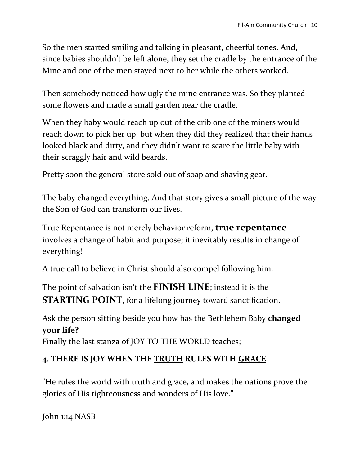So the men started smiling and talking in pleasant, cheerful tones. And, since babies shouldn't be left alone, they set the cradle by the entrance of the Mine and one of the men stayed next to her while the others worked.

Then somebody noticed how ugly the mine entrance was. So they planted some flowers and made a small garden near the cradle.

When they baby would reach up out of the crib one of the miners would reach down to pick her up, but when they did they realized that their hands looked black and dirty, and they didn't want to scare the little baby with their scraggly hair and wild beards.

Pretty soon the general store sold out of soap and shaving gear.

The baby changed everything. And that story gives a small picture of the way the Son of God can transform our lives.

True Repentance is not merely behavior reform, **true repentance** involves a change of habit and purpose; it inevitably results in change of everything!

A true call to believe in Christ should also compel following him.

The point of salvation isn't the **FINISH LINE**; instead it is the **STARTING POINT**, for a lifelong journey toward sanctification.

Ask the person sitting beside you how has the Bethlehem Baby **changed your life?**

Finally the last stanza of JOY TO THE WORLD teaches;

#### **4. THERE IS JOY WHEN THE TRUTH RULES WITH GRACE**

"He rules the world with truth and grace, and makes the nations prove the glories of His righteousness and wonders of His love."

John 1:14 NASB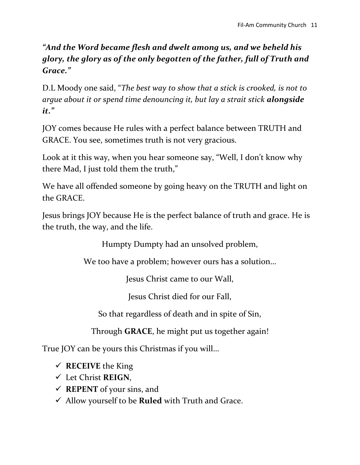## *"And the Word became flesh and dwelt among us, and we beheld his glory, the glory as of the only begotten of the father, full of Truth and Grace."*

D.L Moody one said, "*The best way to show that a stick is crooked, is not to argue about it or spend time denouncing it, but lay a strait stick alongside it."*

JOY comes because He rules with a perfect balance between TRUTH and GRACE. You see, sometimes truth is not very gracious.

Look at it this way, when you hear someone say, "Well, I don't know why there Mad, I just told them the truth,"

We have all offended someone by going heavy on the TRUTH and light on the GRACE.

Jesus brings JOY because He is the perfect balance of truth and grace. He is the truth, the way, and the life.

Humpty Dumpty had an unsolved problem,

We too have a problem; however ours has a solution…

Jesus Christ came to our Wall,

Jesus Christ died for our Fall,

So that regardless of death and in spite of Sin,

Through **GRACE**, he might put us together again!

True JOY can be yours this Christmas if you will…

- $\checkmark$  RECEIVE the King
- Let Christ **REIGN**,
- $\checkmark$  **REPENT** of your sins, and
- Allow yourself to be **Ruled** with Truth and Grace.